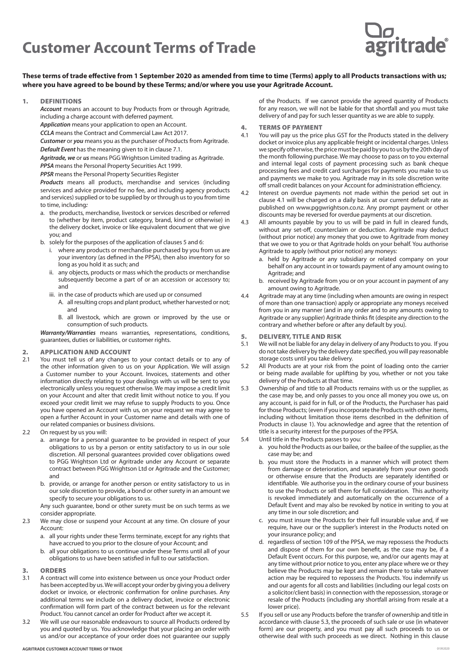# **Customer Account Terms of Trade**



**These terms of trade effective from 1 September 2020 as amended from time to time (Terms) apply to all Products transactions with us; where you have agreed to be bound by these Terms; and/or where you use your Agritrade Account.** 

#### 1. DEFINITIONS

*Account* means an account to buy Products from or through Agritrade, including a charge account with deferred payment.

*Application* means your application to open an Account.

*CCLA* means the Contract and Commercial Law Act 2017.

*Customer* or *you* means you as the purchaser of Products from Agritrade.

*Default Event* has the meaning given to it in clause 7.1.

*Agritrade, we* or *us* means PGG Wrightson Limited trading as Agritrade.

*PPSA* means the Personal Property Securities Act 1999. *PPSR* means the Personal Property Securities Register

*Products* means all products, merchandise and services (including services and advice provided for no fee, and including agency products and services) supplied or to be supplied by or through us to you from time to time, including*:*

- a. the products, merchandise, livestock or services described or referred to (whether by item, product category, brand, kind or otherwise) in the delivery docket, invoice or like equivalent document that we give you; and
- b. solely for the purposes of the application of clauses 5 and 6:
	- i. where any products or merchandise purchased by you from us are your inventory (as defined in the PPSA), then also inventory for so long as you hold it as such; and
	- ii. any objects, products or mass which the products or merchandise subsequently become a part of or an accession or accessory to; and
	- iii. in the case of products which are used up or consumed
		- A. all resulting crops and plant product, whether harvested or not; and
		- B. all livestock, which are grown or improved by the use or consumption of such products.

*Warranty/Warranties* means warranties, representations, conditions, guarantees, duties or liabilities, or customer rights.

### **2. APPLICATION AND ACCOUNT**<br>2.1 You must tell us of any changes

- You must tell us of any changes to your contact details or to any of the other information given to us on your Application. We will assign a Customer number to your Account. Invoices, statements and other information directly relating to your dealings with us will be sent to you electronically unless you request otherwise. We may impose a credit limit on your Account and alter that credit limit without notice to you. If you exceed your credit limit we may refuse to supply Products to you. Once you have opened an Account with us, on your request we may agree to open a further Account in your Customer name and details with one of our related companies or business divisions.
- 2.2 On request by us you will:
	- a. arrange for a personal guarantee to be provided in respect of your obligations to us by a person or entity satisfactory to us in our sole discretion. All personal guarantees provided cover obligations owed to PGG Wrightson Ltd or Agritrade under any Account or separate contract between PGG Wrightson Ltd or Agritrade and the Customer; and
	- b. provide, or arrange for another person or entity satisfactory to us in our sole discretion to provide, a bond or other surety in an amount we specify to secure your obligations to us.

Any such guarantee, bond or other surety must be on such terms as we consider appropriate.

2.3 We may close or suspend your Account at any time. On closure of your Account:

- a. all your rights under these Terms terminate, except for any rights that have accrued to you prior to the closure of your Account; and
- b. all your obligations to us continue under these Terms until all of your obligations to us have been satisfied in full to our satisfaction.
- 3. ORDERS<br>3.1 A contract
- 3.1 A contract will come into existence between us once your Product order has been accepted by us. We will accept your order by giving you a delivery docket or invoice, or electronic confirmation for online purchases. Any additional terms we include on a delivery docket, invoice or electronic confirmation will form part of the contract between us for the relevant Product. You cannot cancel an order for Product after we accept it.
- 3.2 We will use our reasonable endeavours to source all Products ordered by you and quoted by us. You acknowledge that your placing an order with us and/or our acceptance of your order does not guarantee our supply

of the Products. If we cannot provide the agreed quantity of Products for any reason, we will not be liable for that shortfall and you must take delivery of and pay for such lesser quantity as we are able to supply.

- 4. **TERMS OF PAYMENT**<br>4.1 You will nay us the price
- You will pay us the price plus GST for the Products stated in the delivery docket or invoice plus any applicable freight or incidental charges. Unless we specify otherwise, the price must be paid by you to us by the 20th day of the month following purchase. We may choose to pass on to you external and internal legal costs of payment processing such as bank cheque processing fees and credit card surcharges for payments you make to us and payments we make to you. Agritrade may in its sole discretion write off small credit balances on your Account for administration efficiency.
- Interest on overdue payments not made within the period set out in clause 4.1 will be charged on a daily basis at our current default rate as published on www.pggwrightson.co.nz. Any prompt payment or other discounts may be reversed for overdue payments at our discretion.
- 4.3 All amounts payable by you to us will be paid in full in cleared funds, without any set-off, counterclaim or deduction. Agritrade may deduct (without prior notice) any money that you owe to Agritrade from money that we owe to you or that Agritrade holds on your behalf. You authorise Agritrade to apply (without prior notice) any moneys:
	- a. held by Agritrade or any subsidiary or related company on your behalf on any account in or towards payment of any amount owing to Agritrade; and
	- b. received by Agritrade from you or on your account in payment of any amount owing to Agritrade.
- 4.4 Agritrade may at any time (including when amounts are owing in respect of more than one transaction) apply or appropriate any moneys received from you in any manner (and in any order and to any amounts owing to Agritrade or any supplier) Agritrade thinks fit (despite any direction to the contrary and whether before or after any default by you).

### 5. **DELIVERY, TITLE AND RISK**<br>5.1 We will not be liable for any delay

- We will not be liable for any delay in delivery of any Products to you. If you do not take delivery by the delivery date specified, you will pay reasonable storage costs until you take delivery.
- 5.2 All Products are at your risk from the point of loading onto the carrier or being made available for uplifting by you, whether or not you take delivery of the Products at that time.
- 5.3 Ownership of and title to all Products remains with us or the supplier, as the case may be, and only passes to you once all money you owe us, on any account, is paid for in full, or of the Products, the Purchaser has paid for those Products; (even if you incorporate the Products with other items, including without limitation those items described in the definition of Products in clause 1). You acknowledge and agree that the retention of title is a security interest for the purposes of the PPSA.
- 5.4 Until title in the Products passes to you:
	- a. you hold the Products as our bailee, or the bailee of the supplier, as the case may be; and
	- b. you must store the Products in a manner which will protect them from damage or deterioration, and separately from your own goods or otherwise ensure that the Products are separately identified or identifiable. We authorise you in the ordinary course of your business to use the Products or sell them for full consideration. This authority is revoked immediately and automatically on the occurrence of a Default Event and may also be revoked by notice in writing to you at any time in our sole discretion; and
	- c. you must insure the Products for their full insurable value and, if we require, have our or the supplier's interest in the Products noted on your insurance policy; and
	- d. regardless of section 109 of the PPSA, we may repossess the Products and dispose of them for our own benefit, as the case may be, if a Default Event occurs. For this purpose, we, and/or our agents may at any time without prior notice to you, enter any place where we or they believe the Products may be kept and remain there to take whatever action may be required to repossess the Products. You indemnify us and our agents for all costs and liabilities (including our legal costs on a solicitor/client basis) in connection with the repossession, storage or resale of the Products (including any shortfall arising from resale at a lower price).
- 5.5 If you sell or use any Products before the transfer of ownership and title in accordance with clause 5.3, the proceeds of such sale or use (in whatever form) are our property, and you must pay all such proceeds to us or otherwise deal with such proceeds as we direct. Nothing in this clause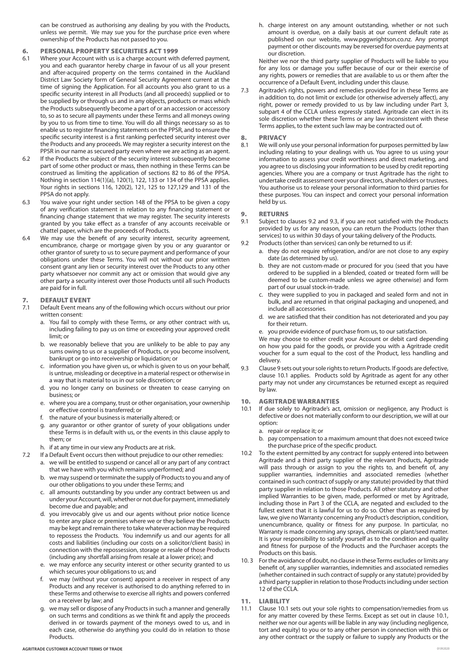can be construed as authorising any dealing by you with the Products, unless we permit. We may sue you for the purchase price even where ownership of the Products has not passed to you.

## 6. PERSONAL PROPERTY SECURITIES ACT 1999<br>6.1 Where your Account with us is a charge account with

- Where your Account with us is a charge account with deferred payment, you and each guarantor hereby charge in favour of us all your present and after-acquired property on the terms contained in the Auckland District Law Society form of General Security Agreement current at the time of signing the Application. For all accounts you also grant to us a specific security interest in all Products (and all proceeds) supplied or to be supplied by or through us and in any objects, products or mass which the Products subsequently become a part of or an accession or accessory to, so as to secure all payments under these Terms and all moneys owing by you to us from time to time. You will do all things necessary so as to enable us to register financing statements on the PPSR, and to ensure the specific security interest is a first ranking perfected security interest over the Products and any proceeds. We may register a security interest on the PPSR in our name as secured party even where we are acting as an agent.
- 6.2 If the Products the subject of the security interest subsequently become part of some other product or mass, then nothing in these Terms can be construed as limiting the application of sections 82 to 86 of the PPSA. Nothing in section 114(1)(a), 120(1), 122, 133 or 134 of the PPSA applies. Your rights in sections 116, 120(2), 121, 125 to 127,129 and 131 of the PPSA do not apply.
- 6.3 You waive your right under section 148 of the PPSA to be given a copy of any verification statement in relation to any financing statement or financing change statement that we may register. The security interests granted by you take effect as a transfer of any accounts receivable or chattel paper, which are the proceeds of Products.
- 6.4 We may use the benefit of any security interest, security agreement, encumbrance, charge or mortgage given by you or any guarantor or other grantor of surety to us to secure payment and performance of your obligations under these Terms. You will not without our prior written consent grant any lien or security interest over the Products to any other party whatsoever nor commit any act or omission that would give any other party a security interest over those Products until all such Products are paid for in full.

#### 7. DEFAULT EVENT

- 7.1 Default Event means any of the following which occurs without our prior written consent:
	- a. You fail to comply with these Terms, or any other contract with us, including failing to pay us on time or exceeding your approved credit limit; or
	- b. we reasonably believe that you are unlikely to be able to pay any sums owing to us or a supplier of Products, or you become insolvent, bankrupt or go into receivership or liquidation; or
	- c. information you have given us, or which is given to us on your behalf, is untrue, misleading or deceptive in a material respect or otherwise in a way that is material to us in our sole discretion; or
	- d. you no longer carry on business or threaten to cease carrying on business; or
	- e. where you are a company, trust or other organisation, your ownership or effective control is transferred; or
	- f. the nature of your business is materially altered; or
	- g. any guarantor or other grantor of surety of your obligations under these Terms is in default with us, or the events in this clause apply to them; or
	- h. if at any time in our view any Products are at risk.
- 7.2 If a Default Event occurs then without prejudice to our other remedies:
	- a. we will be entitled to suspend or cancel all or any part of any contract that we have with you which remains unperformed; and
		- b. we may suspend or terminate the supply of Products to you and any of our other obligations to you under these Terms; and
		- c. all amounts outstanding by you under any contract between us and under your Account, will, whether or not due for payment, immediately become due and payable; and
		- d. you irrevocably give us and our agents without prior notice licence to enter any place or premises where we or they believe the Products may be kept and remain there to take whatever action may be required to repossess the Products. You indemnify us and our agents for all costs and liabilities (including our costs on a solicitor/client basis) in connection with the repossession, storage or resale of those Products (including any shortfall arising from resale at a lower price); and
		- e. we may enforce any security interest or other security granted to us which secures your obligations to us; and
		- f. we may (without your consent) appoint a receiver in respect of any Products and any receiver is authorised to do anything referred to in these Terms and otherwise to exercise all rights and powers conferred on a receiver by law; and
		- g. we may sell or dispose of any Products in such a manner and generally on such terms and conditions as we think fit and apply the proceeds derived in or towards payment of the moneys owed to us, and in each case, otherwise do anything you could do in relation to those Products.

h. charge interest on any amount outstanding, whether or not such amount is overdue, on a daily basis at our current default rate as published on our website, www.pggwrightson.co.nz. Any prompt payment or other discounts may be reversed for overdue payments at our discretion.

Neither we nor the third party supplier of Products will be liable to you for any loss or damage you suffer because of our or their exercise of any rights, powers or remedies that are available to us or them after the occurrence of a Default Event, including under this clause.

7.3 Agritrade's rights, powers and remedies provided for in these Terms are in addition to, do not limit or exclude (or otherwise adversely affect), any right, power or remedy provided to us by law including under Part 3, subpart 4 of the CCLA unless expressly stated. Agritrade can elect in its sole discretion whether these Terms or any law inconsistent with these Terms applies, to the extent such law may be contracted out of.

#### 8. PRIVACY

8.1 We will only use your personal information for purposes permitted by law including relating to your dealings with us. You agree to us using your information to assess your credit worthiness and direct marketing, and you agree to us disclosing your information to be used by credit reporting agencies. Where you are a company or trust Agritrade has the right to undertake credit assessment over your directors, shareholders or trustees. You authorise us to release your personal information to third parties for these purposes. You can inspect and correct your personal information held by us.

# **9. RETURNS**<br>9.1 Subject to

- Subject to clauses 9.2 and 9.3, if you are not satisfied with the Products provided by us for any reason, you can return the Products (other than services) to us within 30 days of your taking delivery of the Products.
- 9.2 Products (other than services) can only be returned to us if:
	- a. they do not require refrigeration, and/or are not close to any expiry date (as determined by us).
	- b. they are not custom-made or procured for you (seed that you have ordered to be supplied in a blended, coated or treated form will be deemed to be custom-made unless we agree otherwise) and form part of our usual stock-in-trade.
	- c. they were supplied to you in packaged and sealed form and not in bulk, and are returned in that original packaging and unopened, and include all accessories.
	- d. we are satisfied that their condition has not deteriorated and you pay for their return.
	- e. you provide evidence of purchase from us, to our satisfaction.

We may choose to either credit your Account or debit card depending on how you paid for the goods, or provide you with a Agritrade credit voucher for a sum equal to the cost of the Product, less handling and delivery.

9.3 Clause 9 sets out your sole rights to return Products. If goods are defective, clause 10.1 applies. Products sold by Agritrade as agent for any other party may not under any circumstances be returned except as required by law.

#### 10. AGRITRADE WARRANTIES

- 10.1 If due solely to Agritrade's act, omission or negligence, any Product is defective or does not materially conform to our description, we will at our option:
	- a. repair or replace it; or
	- b. pay compensation to a maximum amount that does not exceed twice the purchase price of the specific product.
- 10.2 To the extent permitted by any contract for supply entered into between Agritrade and a third party supplier of the relevant Products, Agritrade will pass through or assign to you the rights to, and benefit of, any supplier warranties, indemnities and associated remedies (whether contained in such contract of supply or any statute) provided by that third party supplier in relation to those Products. All other statutory and other implied Warranties to be given, made, performed or met by Agritrade, including those in Part 3 of the CCLA, are negated and excluded to the fullest extent that it is lawful for us to do so. Other than as required by law, we give no Warranty concerning any Product's description, condition, unencumbrance, quality or fitness for any purpose. In particular, no Warranty is made concerning any sprays, chemicals or plant/seed matter. It is your responsibility to satisfy yourself as to the condition and quality and fitness for purpose of the Products and the Purchaser accepts the Products on this basis.
- 10. 3 For the avoidance of doubt, no clause in these Terms excludes or limits any benefit of, any supplier warranties, indemnities and associated remedies (whether contained in such contract of supply or any statute) provided by a third party supplier in relation to those Products including under section 12 of the CCLA.
- 11. LIABILITY
- 11.1 Clause 10.1 sets out your sole rights to compensation/remedies from us for any matter covered by these Terms. Except as set out in clause 10.1, neither we nor our agents will be liable in any way (including negligence, tort and equity) to you or to any other person in connection with this or any other contract or the supply or failure to supply any Products or the